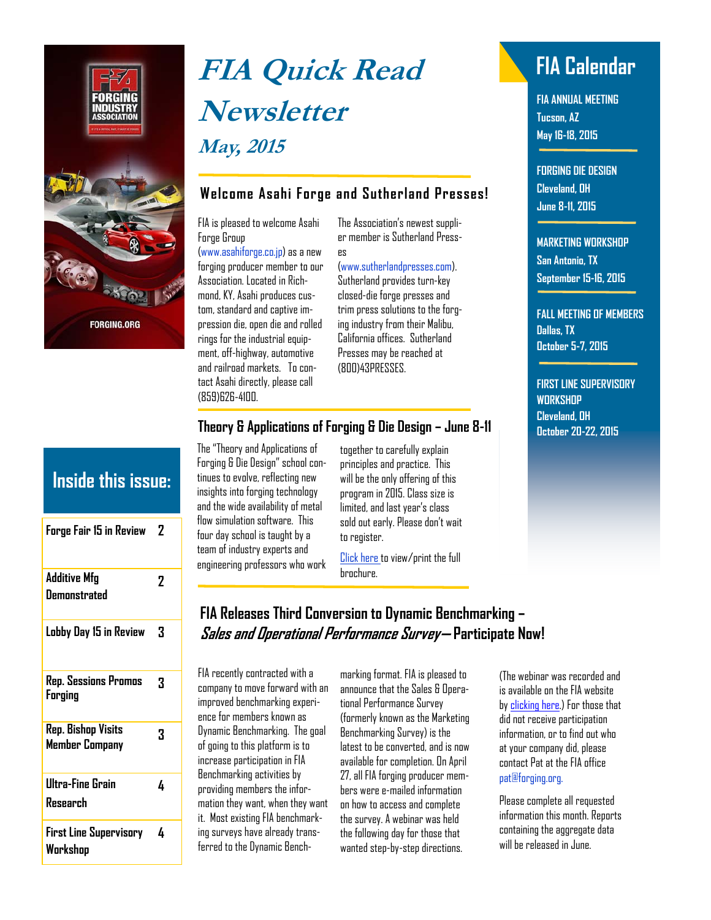

# **FIA Quick Read FIA Calendar Newsletter May, 2015**

### **Welcome Asahi Forge and Sutherland Presses!**

FIA is pleased to welcome Asahi Forge Group

[\(www.asahiforge.co.jp\)](www.asahiforge.co.jp) as a new forging producer member to our Association. Located in Richmond, KY, Asahi produces custom, standard and captive impression die, open die and rolled rings for the industrial equipment, off-highway, automotive and railroad markets. To contact Asahi directly, please call (859)626-4100.

The Association's newest supplier member is Sutherland Presses

#### (www.sutherlandpresses.com).

Sutherland provides turn-key closed-die forge presses and trim press solutions to the forging industry from their Malibu, California offices. Sutherland Presses may be reached at (800)43PRESSES.

## **Theory & Applications of Forging & Die Design – June 8-11**

The "Theory and Applications of Forging & Die Design" school continues to evolve, reflecting new insights into forging technology and the wide availability of metal flow simulation software. This four day school is taught by a team of industry experts and engineering professors who work

together to carefully explain principles and practice. This will be the only offering of this program in 2015. Class size is limited, and last year's class sold out early. Please don't wait to register.

[Click here t](https://www.forging.org/system/files/public/2015 Die School Program Sml.pdf)o view/print the full brochure.

**FIA ANNUAL MEETING Tucson, AZ May 16-18, 2015** 

**FORGING DIE DESIGN Cleveland, OH June 8-11, 2015** 

#### **MARKETING WORKSHOP**

**San Antonio, TX September 15-16, 2015** 

### **FALL MEETING OF MEMBERS Dallas, TX October 5-7, 2015**

**FIRST LINE SUPERVISORY WORKSHOP Cleveland, OH October 20-22, 2015** 

| <b>Inside this issue:</b>                 |   |
|-------------------------------------------|---|
| Forge Fair 15 in Review                   | 2 |
| <b>Additive Mfg</b><br>Demonstrated       | 2 |
| Lobby Day 15 in Review                    | 3 |
| Rep. Sessions Promos<br>Forging           | 3 |
| Rep. Bishop Visits<br>Member Company      | 3 |
| Ultra-Fine Grain<br>Research              | 4 |
| <b>First Line Supervisory</b><br>Workshoo | 4 |

## **FIA Releases Third Conversion to Dynamic Benchmarking – Sales and Operational Performance Survey— Participate Now!**

FIA recently contracted with a company to move forward with an improved benchmarking experience for members known as Dynamic Benchmarking. The goal of going to this platform is to increase participation in FIA Benchmarking activities by providing members the information they want, when they want it. Most existing FIA benchmarking surveys have already transferred to the Dynamic Bench-

marking format. FIA is pleased to announce that the Sales & Operational Performance Survey (formerly known as the Marketing Benchmarking Survey) is the latest to be converted, and is now available for completion. On April 27, all FIA forging producer members were e-mailed information on how to access and complete the survey. A webinar was held the following day for those that wanted step-by-step directions.

(The webinar was recorded and is available on the FIA website by [clicking here.](https://www.forging.org/benchmarking)) For those that did not receive participation information, or to find out who at your company did, please contact Pat at the FIA office pat@forging.org.

Please complete all requested information this month. Reports containing the aggregate data will be released in June.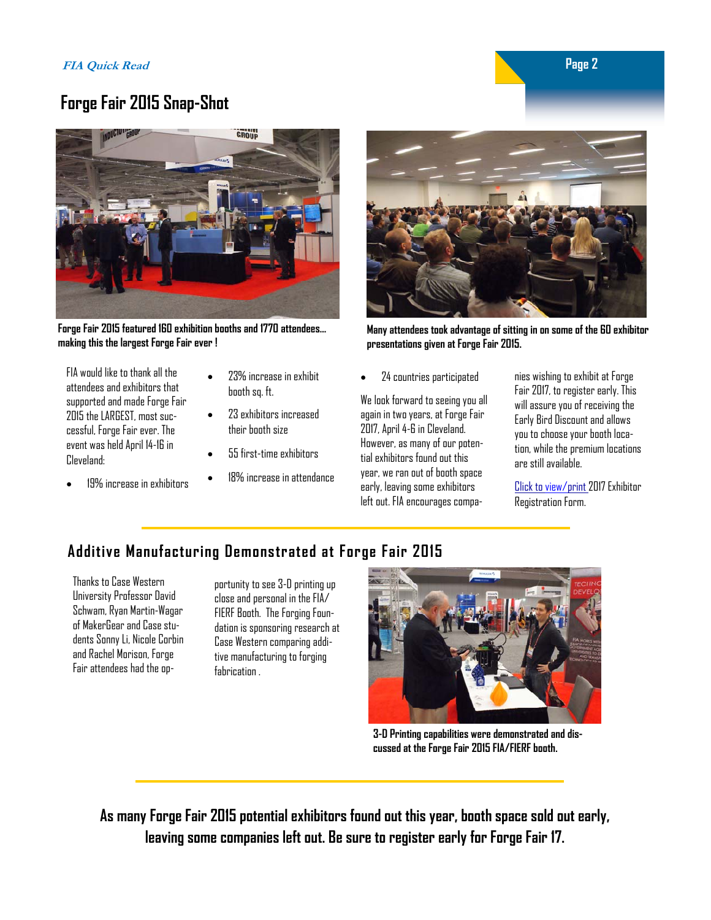## **Forge Fair 2015 Snap-Shot**



**Forge Fair 2015 featured 160 exhibition booths and 1770 attendees… making this the largest Forge Fair ever !** 

FIA would like to thank all the attendees and exhibitors that supported and made Forge Fair 2015 the LARGEST, most successful, Forge Fair ever. The event was held April 14-16 in Cleveland:

- 19% increase in exhibitors
- 23% increase in exhibit booth sq. ft.
- 23 exhibitors increased their booth size
- 55 first-time exhibitors
- 18% increase in attendance



**Many attendees took advantage of sitting in on some of the 60 exhibitor presentations given at Forge Fair 2015.** 

24 countries participated

We look forward to seeing you all again in two years, at Forge Fair 2017, April 4-6 in Cleveland. However, as many of our potential exhibitors found out this year, we ran out of booth space early, leaving some exhibitors left out. FIA encourages companies wishing to exhibit at Forge Fair 2017, to register early. This will assure you of receiving the Early Bird Discount and allows you to choose your booth location, while the premium locations are still available.

[Click to view/print](https://www.forging.org/system/files/public/ForgeFair/ForgeFair_2017_Flyer_lr.pdf) 2017 Exhibitor Registration Form.

## **Additive Manufacturing Demonstrated at Forge Fair 2015**

Thanks to Case Western University Professor David Schwam, Ryan Martin-Wagar of MakerGear and Case students Sonny Li, Nicole Corbin and Rachel Morison, Forge Fair attendees had the op-

portunity to see 3-D printing up close and personal in the FIA/ FIERF Booth. The Forging Foundation is sponsoring research at Case Western comparing additive manufacturing to forging fabrication .



**3-D Printing capabilities were demonstrated and discussed at the Forge Fair 2015 FIA/FIERF booth.** 

**As many Forge Fair 2015 potential exhibitors found out this year, booth space sold out early, leaving some companies left out. Be sure to register early for Forge Fair 17.** 

 **Page 2**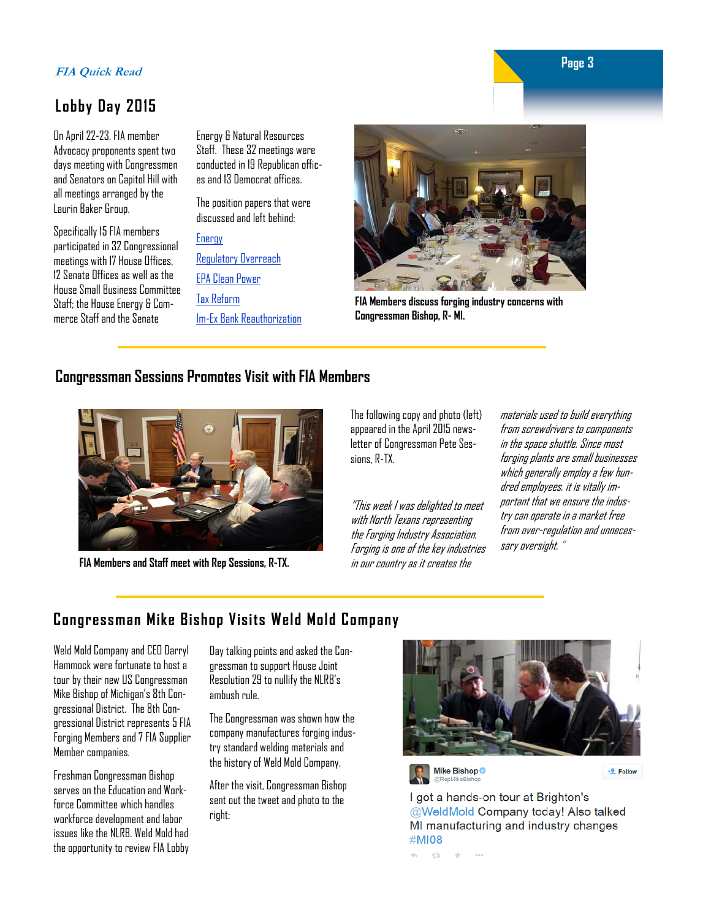## **Page 3 Page 3 Page 3**

## **Lobby Day 2015**

On April 22-23, FIA member Advocacy proponents spent two days meeting with Congressmen and Senators on Capitol Hill with all meetings arranged by the Laurin Baker Group.

Specifically 15 FIA members participated in 32 Congressional meetings with 17 House Offices, 12 Senate Offices as well as the House Small Business Committee Staff; the House Energy & Commerce Staff and the Senate

Energy & Natural Resources Staff. These 32 meetings were conducted in 19 Republican offices and 13 Democrat offices.

The position papers that were discussed and left behind:

#### **Energy**

[Regulatory Overreach](https://www.forging.org/system/files/public/QRNL/FIA Issues 2015 Regulatory Overreach.pdf)

[EPA Clean Power](https://www.forging.org/system/files/public/QRNL/FIA Issues 2015 EPA Clean Power Plan.pdf)  [Tax Reform](https://www.forging.org/system/files/public/QRNL/FIA Issues 2015 Tax Reform.docx.pdf) 

[Im-Ex Bank Reauthorization](https://www.forging.org/system/files/public/QRNL/FIA Issues 2015 Ex-Im Bank Reauthorization.pdf) 



**FIA Members discuss forging industry concerns with Congressman Bishop, R- MI.** 

## **Congressman Sessions Promotes Visit with FIA Members**



**FIA Members and Staff meet with Rep Sessions, R-TX.** 

The following copy and photo (left) appeared in the April 2015 newsletter of Congressman Pete Sessions, R-TX.

"This week I was delighted to meet with North Texans representing the Forging Industry Association. Forging is one of the key industries in our country as it creates the

materials used to build everything from screwdrivers to components in the space shuttle. Since most forging plants are small businesses which generally employ a few hundred employees, it is vitally important that we ensure the industry can operate in a market free from over-regulation and unnecessary oversight. "

## **Congressman Mike Bishop Visits Weld Mold Company**

Weld Mold Company and CEO Darryl Hammock were fortunate to host a tour by their new US Congressman Mike Bishop of Michigan's 8th Congressional District. The 8th Congressional District represents 5 FIA Forging Members and 7 FIA Supplier Member companies.

Freshman Congressman Bishop serves on the Education and Workforce Committee which handles workforce development and labor issues like the NLRB. Weld Mold had the opportunity to review FIA Lobby Day talking points and asked the Congressman to support House Joint Resolution 29 to nullify the NLRB's ambush rule.

The Congressman was shown how the company manufactures forging industry standard welding materials and the history of Weld Mold Company.

After the visit, Congressman Bishop sent out the tweet and photo to the right:



Mike Bishop

 $\div$ **P** Follow

I got a hands-on tour at Brighton's @WeldMold Company today! Also talked MI manufacturing and industry changes #MI08

671